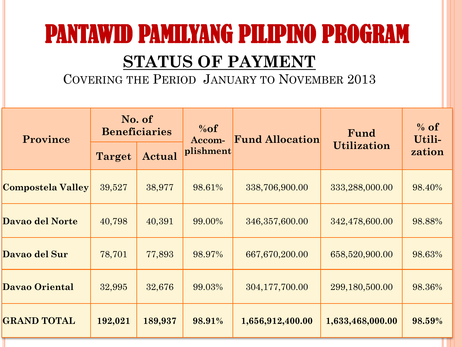# PANTAWID PAMILYANG PILIPINO PROGRAM

### **STATUS OF PAYMENT**

COVERING THE PERIOD JANUARY TO NOVEMBER 2013

| Province                 | No. of<br><b>Beneficiaries</b> |               | %of<br>Accom- | <b>Fund Allocation</b> | Fund               | $%$ of<br>Utili- |
|--------------------------|--------------------------------|---------------|---------------|------------------------|--------------------|------------------|
|                          | <b>Target</b>                  | <b>Actual</b> | plishment     |                        | <b>Utilization</b> | zation           |
| <b>Compostela Valley</b> | 39,527                         | 38,977        | 98.61%        | 338,706,900.00         | 333,288,000.00     | 98.40%           |
| Davao del Norte          | 40,798                         | 40,391        | 99.00%        | 346, 357, 600.00       | 342,478,600.00     | 98.88%           |
| Davao del Sur            | 78,701                         | 77,893        | 98.97%        | 667,670,200.00         | 658,520,900.00     | 98.63%           |
| <b>Davao Oriental</b>    | 32,995                         | 32,676        | 99.03%        | 304,177,700.00         | 299,180,500.00     | 98.36%           |
| <b>GRAND TOTAL</b>       | 192,021                        | 189,937       | 98.91%        | 1,656,912,400.00       | 1,633,468,000.00   | 98.59%           |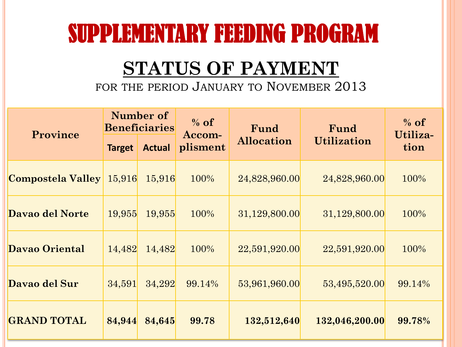## SUPPLEMENTARY FEEDING PROGRAM

## **STATUS OF PAYMENT**

FOR THE PERIOD JANUARY TO NOVEMBER 2013

| Province                 | Number of<br><b>Beneficiaries</b> |               | $%$ of<br>Accom- | Fund              | Fund               | $%$ of<br>Utiliza- |
|--------------------------|-----------------------------------|---------------|------------------|-------------------|--------------------|--------------------|
|                          | <b>Target</b>                     | <b>Actual</b> | plisment         | <b>Allocation</b> | <b>Utilization</b> | tion               |
| <b>Compostela Valley</b> | 15,916                            | 15,916        | 100%             | 24,828,960.00     | 24,828,960.00      | 100%               |
| Davao del Norte          | 19,955                            | 19,955        | 100%             | 31,129,800.00     | 31,129,800.00      | 100%               |
| <b>Davao Oriental</b>    | 14,482                            | 14,482        | 100%             | 22,591,920.00     | 22,591,920.00      | 100%               |
| Davao del Sur            | 34,591                            | 34,292        | 99.14%           | 53,961,960.00     | 53,495,520.00      | 99.14%             |
| <b>GRAND TOTAL</b>       | 84,944                            | 84,645        | 99.78            | 132,512,640       | 132,046,200.00     | 99.78%             |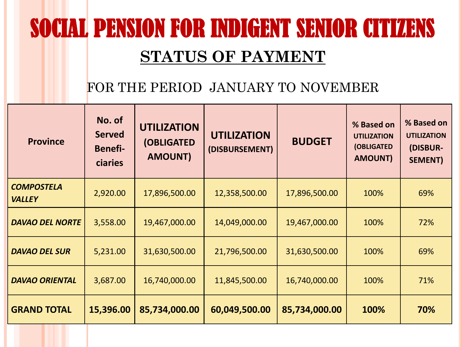## SOCIAL PENSION FOR INDIGENT SENIOR CITIZENS **STATUS OF PAYMENT**

### FOR THE PERIOD JANUARY TO NOVEMBER

| <b>Province</b>                    | No. of<br><b>Served</b><br><b>Benefi-</b><br><b>ciaries</b> | <b>UTILIZATION</b><br><b>(OBLIGATED</b><br><b>AMOUNT)</b> | <b>UTILIZATION</b><br>(DISBURSEMENT) | <b>BUDGET</b> | % Based on<br><b>UTILIZATION</b><br><b>(OBLIGATED</b><br><b>AMOUNT)</b> | % Based on<br><b>UTILIZATION</b><br>(DISBUR-<br><b>SEMENT)</b> |
|------------------------------------|-------------------------------------------------------------|-----------------------------------------------------------|--------------------------------------|---------------|-------------------------------------------------------------------------|----------------------------------------------------------------|
| <b>COMPOSTELA</b><br><b>VALLEY</b> | 2,920.00                                                    | 17,896,500.00                                             | 12,358,500.00                        | 17,896,500.00 | 100%                                                                    | 69%                                                            |
| <b>DAVAO DEL NORTE</b>             | 3,558.00                                                    | 19,467,000.00                                             | 14,049,000.00                        | 19,467,000.00 | 100%                                                                    | 72%                                                            |
| <b>DAVAO DEL SUR</b>               | 5,231.00                                                    | 31,630,500.00                                             | 21,796,500.00                        | 31,630,500.00 | 100%                                                                    | 69%                                                            |
| <b>DAVAO ORIENTAL</b>              | 3,687.00                                                    | 16,740,000.00                                             | 11,845,500.00                        | 16,740,000.00 | 100%                                                                    | 71%                                                            |
| <b>GRAND TOTAL</b>                 | 15,396.00                                                   | 85,734,000.00                                             | 60,049,500.00                        | 85,734,000.00 | 100%                                                                    | 70%                                                            |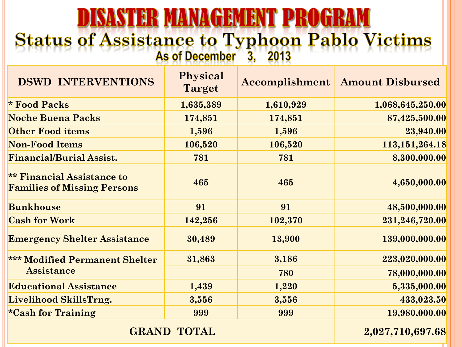**DISASTER MANAGEMENT PROGRAM** 

**Status of Assistance to Typhoon Pablo Victims** As of December 3, 2013

| <b>DSWD INTERVENTIONS</b>                                               | Physical<br><b>Target</b> |           | <b>Accomplishment</b> Amount Disbursed |
|-------------------------------------------------------------------------|---------------------------|-----------|----------------------------------------|
| * Food Packs                                                            | 1,635,389                 | 1,610,929 | 1,068,645,250.00                       |
| <b>Noche Buena Packs</b>                                                | 174,851                   | 174,851   | 87,425,500.00                          |
| <b>Other Food items</b>                                                 | 1,596                     | 1,596     | 23,940.00                              |
| <b>Non-Food Items</b>                                                   | 106,520                   | 106,520   | 113, 151, 264. 18                      |
| <b>Financial/Burial Assist.</b>                                         | 781                       | 781       | 8,300,000.00                           |
| <b>** Financial Assistance to</b><br><b>Families of Missing Persons</b> | 465                       | 465       | 4,650,000.00                           |
| <b>Bunkhouse</b>                                                        | 91                        | 91        | 48,500,000.00                          |
| <b>Cash for Work</b>                                                    | 142,256                   | 102,370   | 231,246,720.00                         |
| <b>Emergency Shelter Assistance</b>                                     | 30,489                    | 13,900    | 139,000,000.00                         |
| *** Modified Permanent Shelter                                          | 31,863                    | 3,186     | 223,020,000.00                         |
| <b>Assistance</b>                                                       |                           | 780       | 78,000,000.00                          |
| <b>Educational Assistance</b>                                           | 1,439                     | 1,220     | 5,335,000.00                           |
| Livelihood SkillsTrng.                                                  | 3,556                     | 3,556     | 433,023.50                             |
| <b>*Cash for Training</b>                                               | 19,980,000.00             |           |                                        |
| <b>GRAND TOTAL</b>                                                      | 2,027,710,697.68          |           |                                        |